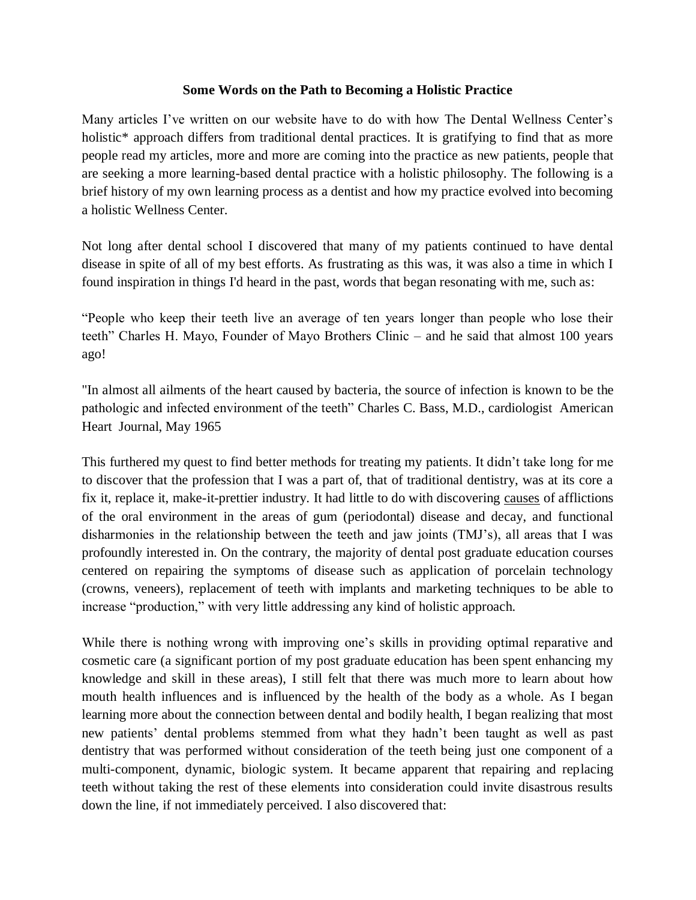## **Some Words on the Path to Becoming a Holistic Practice**

Many articles I've written on our website have to do with how The Dental Wellness Center's holistic<sup>\*</sup> approach differs from traditional dental practices. It is gratifying to find that as more people read my articles, more and more are coming into the practice as new patients, people that are seeking a more learning-based dental practice with a holistic philosophy. The following is a brief history of my own learning process as a dentist and how my practice evolved into becoming a holistic Wellness Center.

Not long after dental school I discovered that many of my patients continued to have dental disease in spite of all of my best efforts. As frustrating as this was, it was also a time in which I found inspiration in things I'd heard in the past, words that began resonating with me, such as:

"People who keep their teeth live an average of ten years longer than people who lose their teeth" Charles H. Mayo, Founder of Mayo Brothers Clinic – and he said that almost 100 years ago!

"In almost all ailments of the heart caused by bacteria, the source of infection is known to be the pathologic and infected environment of the teeth" Charles C. Bass, M.D., cardiologist American Heart Journal, May 1965

This furthered my quest to find better methods for treating my patients. It didn't take long for me to discover that the profession that I was a part of, that of traditional dentistry, was at its core a fix it, replace it, make-it-prettier industry. It had little to do with discovering causes of afflictions of the oral environment in the areas of gum (periodontal) disease and decay, and functional disharmonies in the relationship between the teeth and jaw joints (TMJ's), all areas that I was profoundly interested in. On the contrary, the majority of dental post graduate education courses centered on repairing the symptoms of disease such as application of porcelain technology (crowns, veneers), replacement of teeth with implants and marketing techniques to be able to increase "production," with very little addressing any kind of holistic approach.

While there is nothing wrong with improving one's skills in providing optimal reparative and cosmetic care (a significant portion of my post graduate education has been spent enhancing my knowledge and skill in these areas), I still felt that there was much more to learn about how mouth health influences and is influenced by the health of the body as a whole. As I began learning more about the connection between dental and bodily health, I began realizing that most new patients' dental problems stemmed from what they hadn't been taught as well as past dentistry that was performed without consideration of the teeth being just one component of a multi-component, dynamic, biologic system. It became apparent that repairing and replacing teeth without taking the rest of these elements into consideration could invite disastrous results down the line, if not immediately perceived. I also discovered that: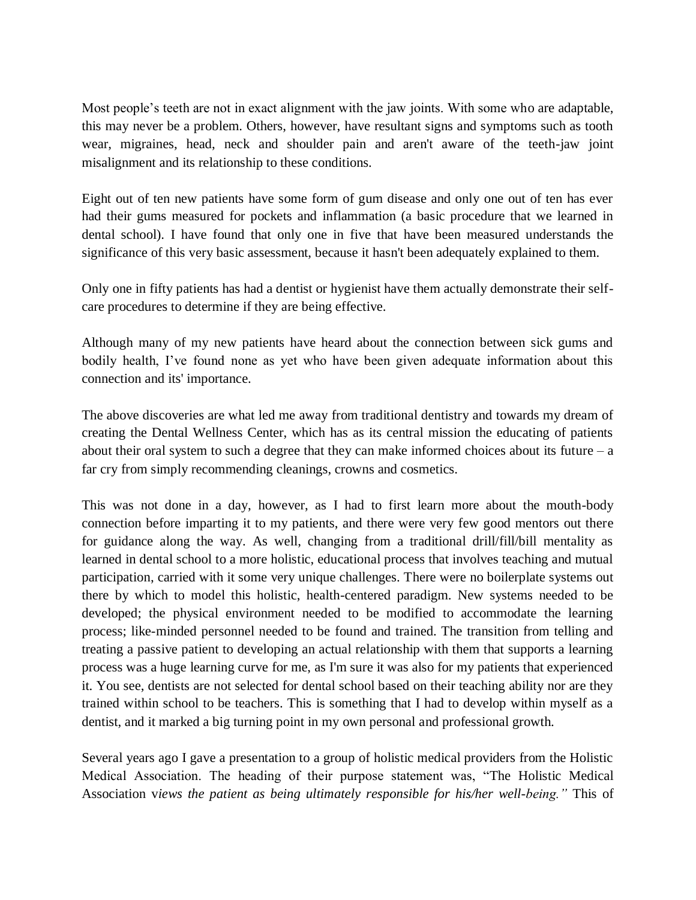Most people's teeth are not in exact alignment with the jaw joints. With some who are adaptable, this may never be a problem. Others, however, have resultant signs and symptoms such as tooth wear, migraines, head, neck and shoulder pain and aren't aware of the teeth-jaw joint misalignment and its relationship to these conditions.

Eight out of ten new patients have some form of gum disease and only one out of ten has ever had their gums measured for pockets and inflammation (a basic procedure that we learned in dental school). I have found that only one in five that have been measured understands the significance of this very basic assessment, because it hasn't been adequately explained to them.

Only one in fifty patients has had a dentist or hygienist have them actually demonstrate their selfcare procedures to determine if they are being effective.

Although many of my new patients have heard about the connection between sick gums and bodily health, I've found none as yet who have been given adequate information about this connection and its' importance.

The above discoveries are what led me away from traditional dentistry and towards my dream of creating the Dental Wellness Center, which has as its central mission the educating of patients about their oral system to such a degree that they can make informed choices about its future  $-a$ far cry from simply recommending cleanings, crowns and cosmetics.

This was not done in a day, however, as I had to first learn more about the mouth-body connection before imparting it to my patients, and there were very few good mentors out there for guidance along the way. As well, changing from a traditional drill/fill/bill mentality as learned in dental school to a more holistic, educational process that involves teaching and mutual participation, carried with it some very unique challenges. There were no boilerplate systems out there by which to model this holistic, health-centered paradigm. New systems needed to be developed; the physical environment needed to be modified to accommodate the learning process; like-minded personnel needed to be found and trained. The transition from telling and treating a passive patient to developing an actual relationship with them that supports a learning process was a huge learning curve for me, as I'm sure it was also for my patients that experienced it. You see, dentists are not selected for dental school based on their teaching ability nor are they trained within school to be teachers. This is something that I had to develop within myself as a dentist, and it marked a big turning point in my own personal and professional growth.

Several years ago I gave a presentation to a group of holistic medical providers from the Holistic Medical Association. The heading of their purpose statement was, "The Holistic Medical Association v*iews the patient as being ultimately responsible for his/her well-being."* This of